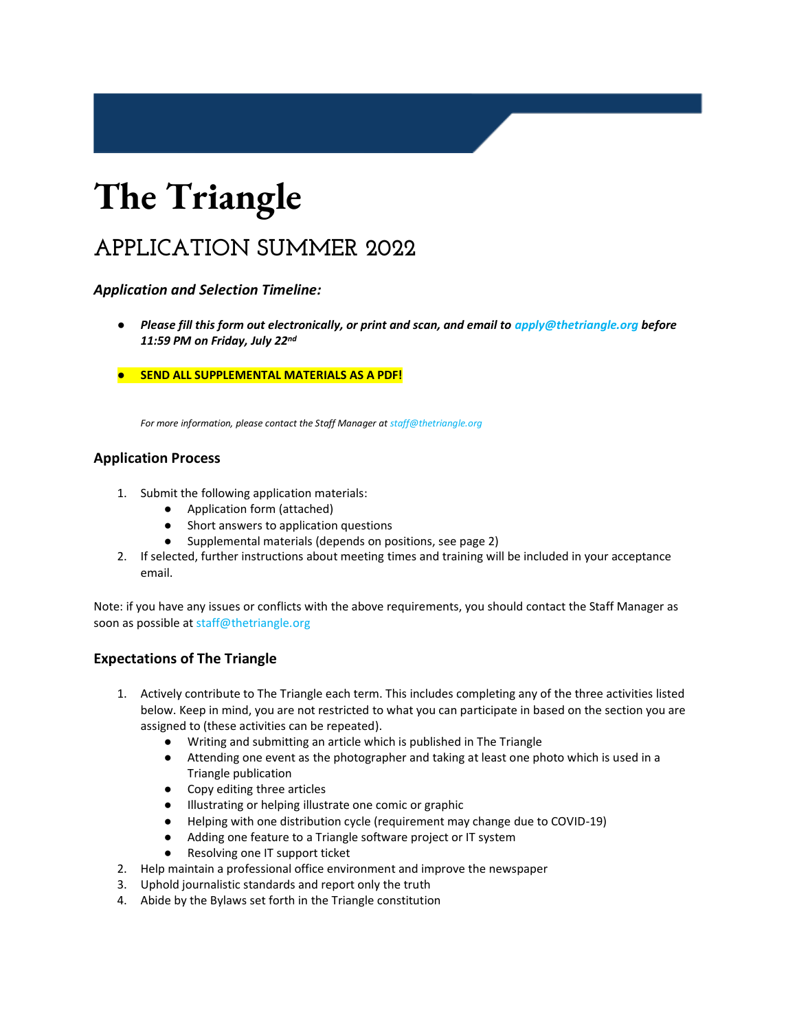## **APPLICATION SUMMER 2022**

### *Application and Selection Timeline:*

- *Please fill this form out electronically, or print and scan, and email to apply@thetriangle.org before 11:59 PM on Friday, July 22nd*
- **SEND ALL SUPPLEMENTAL MATERIALS AS A PDF!**

*For more information, please contact the Staff Manager at staff@thetriangle.org* 

### **Application Process**

- 1. Submit the following application materials:
	- Application form (attached)
	- Short answers to application questions
	- Supplemental materials (depends on positions, see page 2)
- 2. If selected, further instructions about meeting times and training will be included in your acceptance email.

Note: if you have any issues or conflicts with the above requirements, you should contact the Staff Manager as soon as possible at staff@thetriangle.org

### **Expectations of The Triangle**

- 1. Actively contribute to The Triangle each term. This includes completing any of the three activities listed below. Keep in mind, you are not restricted to what you can participate in based on the section you are assigned to (these activities can be repeated).
	- Writing and submitting an article which is published in The Triangle
	- Attending one event as the photographer and taking at least one photo which is used in a Triangle publication
	- Copy editing three articles
	- Illustrating or helping illustrate one comic or graphic
	- Helping with one distribution cycle (requirement may change due to COVID-19)
	- Adding one feature to a Triangle software project or IT system
	- Resolving one IT support ticket
- 2. Help maintain a professional office environment and improve the newspaper
- 3. Uphold journalistic standards and report only the truth
- 4. Abide by the Bylaws set forth in the Triangle constitution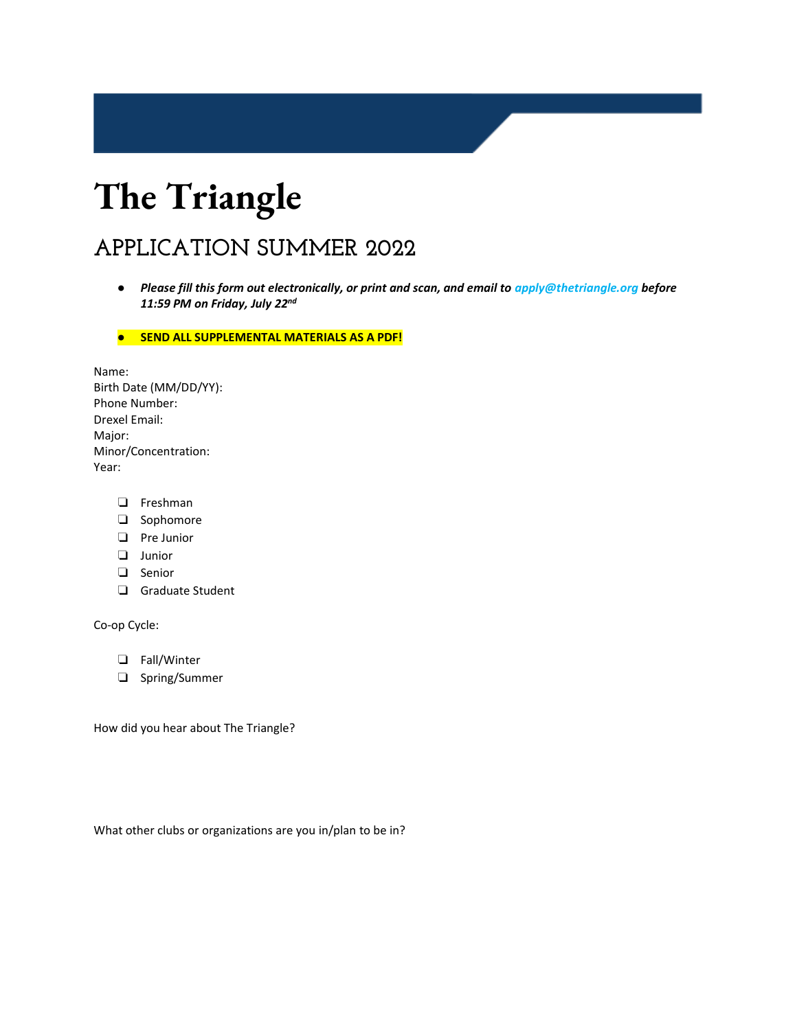## **APPLICATION SUMMER 2022**

● *Please fill this form out electronically, or print and scan, and email to apply@thetriangle.org before 11:59 PM on Friday, July 22nd*

● **SEND ALL SUPPLEMENTAL MATERIALS AS A PDF!** 

Name: Birth Date (MM/DD/YY): Phone Number: Drexel Email: Major: Minor/Concentration: Year:

- ❏ Freshman
- ❏ Sophomore
- ❏ Pre Junior
- ❏ Junior
- ❏ Senior
- ❏ Graduate Student

Co-op Cycle:

- ❏ Fall/Winter
- ❏ Spring/Summer

How did you hear about The Triangle?

What other clubs or organizations are you in/plan to be in?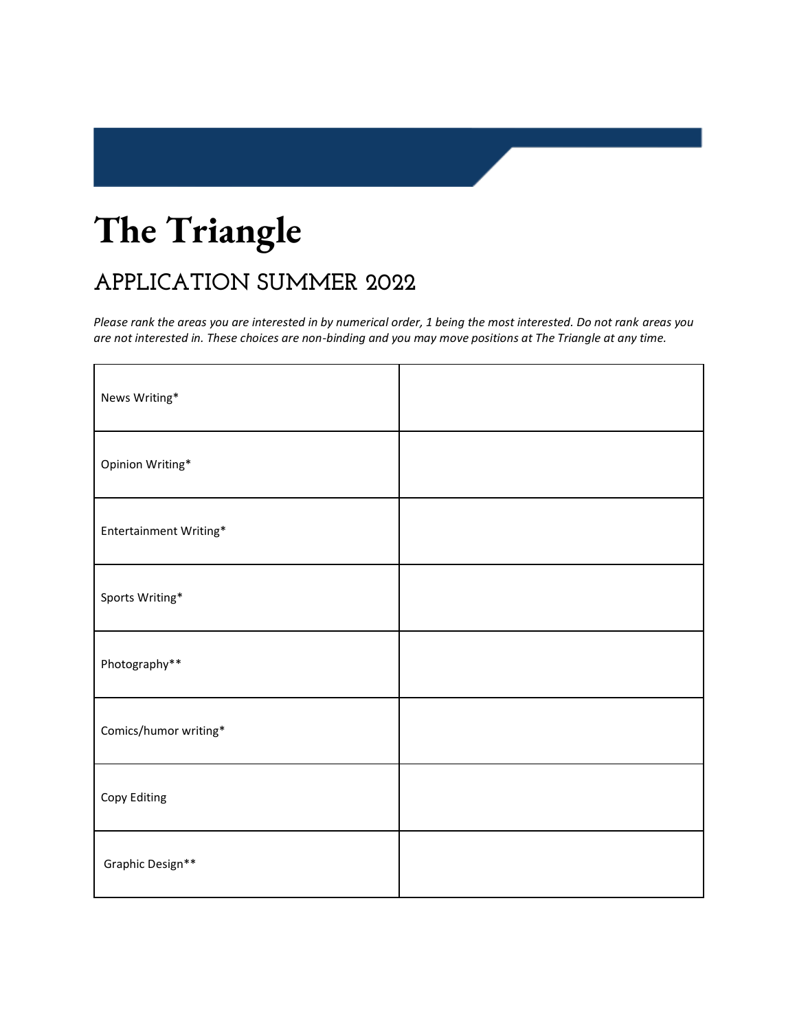## **APPLICATION SUMMER 2022**

*Please rank the areas you are interested in by numerical order, 1 being the most interested. Do not rank areas you are not interested in. These choices are non-binding and you may move positions at The Triangle at any time.* 

| News Writing*          |  |
|------------------------|--|
| Opinion Writing*       |  |
| Entertainment Writing* |  |
| Sports Writing*        |  |
| Photography**          |  |
| Comics/humor writing*  |  |
| Copy Editing           |  |
| Graphic Design**       |  |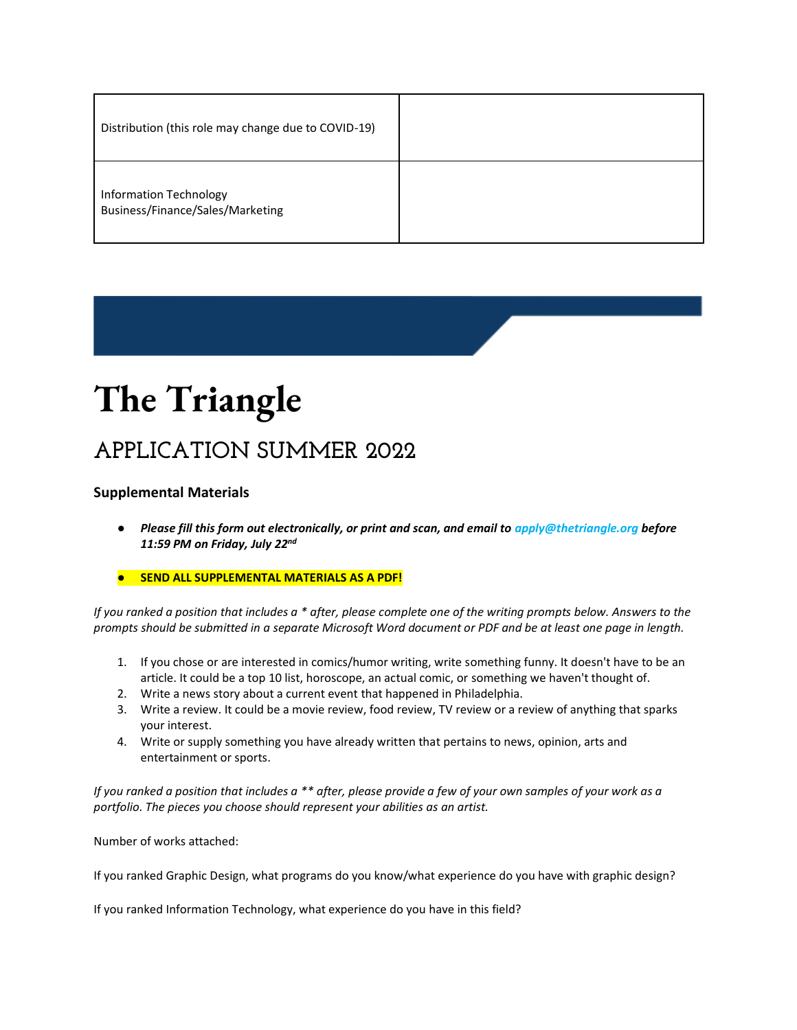| Distribution (this role may change due to COVID-19)               |  |
|-------------------------------------------------------------------|--|
| <b>Information Technology</b><br>Business/Finance/Sales/Marketing |  |

## **APPLICATION SUMMER 2022**

### **Supplemental Materials**

- *Please fill this form out electronically, or print and scan, and email to apply@thetriangle.org before 11:59 PM on Friday, July 22nd*
- **SEND ALL SUPPLEMENTAL MATERIALS AS A PDF!**

*If you ranked a position that includes a \* after, please complete one of the writing prompts below. Answers to the prompts should be submitted in a separate Microsoft Word document or PDF and be at least one page in length.* 

- 1. If you chose or are interested in comics/humor writing, write something funny. It doesn't have to be an article. It could be a top 10 list, horoscope, an actual comic, or something we haven't thought of.
- 2. Write a news story about a current event that happened in Philadelphia.
- 3. Write a review. It could be a movie review, food review, TV review or a review of anything that sparks your interest.
- 4. Write or supply something you have already written that pertains to news, opinion, arts and entertainment or sports.

*If you ranked a position that includes a \*\* after, please provide a few of your own samples of your work as a portfolio. The pieces you choose should represent your abilities as an artist.* 

Number of works attached:

If you ranked Graphic Design, what programs do you know/what experience do you have with graphic design?

If you ranked Information Technology, what experience do you have in this field?